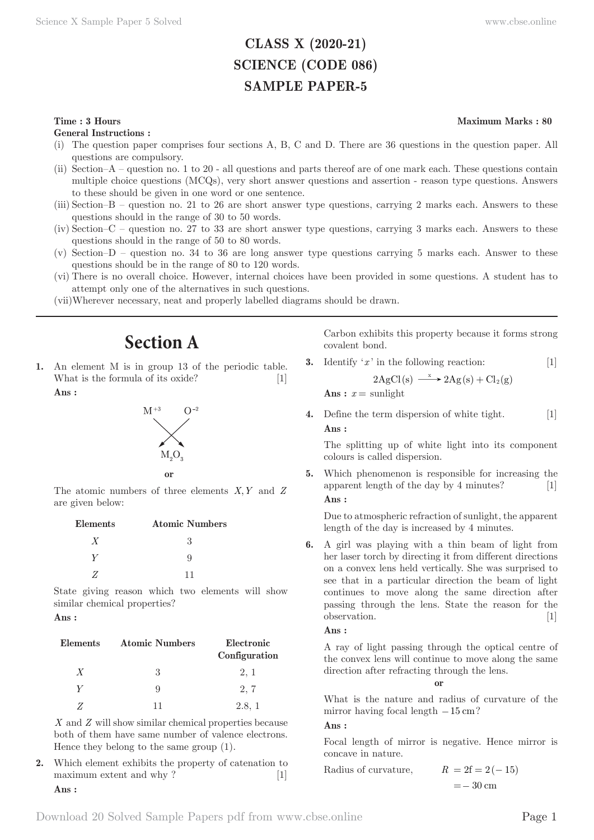## **CLASS X (2020-21) SCIENCE (CODE 086) SAMPLE PAPER-5**

#### **Time : 3 Hours** Maximum Marks : 80

**General Instructions :**

- (i) The question paper comprises four sections A, B, C and D. There are 36 questions in the question paper. All questions are compulsory.
- (ii) Section–A question no. 1 to 20 all questions and parts thereof are of one mark each. These questions contain multiple choice questions (MCQs), very short answer questions and assertion - reason type questions. Answers to these should be given in one word or one sentence.
- (iii) Section–B question no. 21 to 26 are short answer type questions, carrying 2 marks each. Answers to these questions should in the range of 30 to 50 words.
- (iv) Section–C question no. 27 to 33 are short answer type questions, carrying 3 marks each. Answers to these questions should in the range of 50 to 80 words.
- (v) Section–D question no. 34 to 36 are long answer type questions carrying 5 marks each. Answer to these questions should be in the range of 80 to 120 words.
- (vi) There is no overall choice. However, internal choices have been provided in some questions. A student has to attempt only one of the alternatives in such questions.
- (vii) Wherever necessary, neat and properly labelled diagrams should be drawn.

# **Section A**

An element M is in group 13 of the periodic table. What is the formula of its oxide? [1]

**Ans :** 





The atomic numbers of three elements *X,Y* and *Z* are given below:

| Elements | <b>Atomic Numbers</b> |
|----------|-----------------------|
| X        | 3                     |
|          | Q                     |
|          | 11                    |

State giving reason which two elements will show similar chemical properties?

#### **Ans :**

| Elements | <b>Atomic Numbers</b> | Electronic<br>Configuration |
|----------|-----------------------|-----------------------------|
| X        | З                     | 2, 1                        |
| V        | 9                     | 2, 7                        |
|          |                       | 2.8, 1                      |

*X* and *Z* will show similar chemical properties because both of them have same number of valence electrons. Hence they belong to the same group (1).

**2.** Which element exhibits the property of catenation to maximum extent and why ? [1] **Ans :** 

Carbon exhibits this property because it forms strong covalent bond.

**3.** Identify '*x* ' in the following reaction: [1]

$$
2AgCl(s) \xrightarrow{\ x \ } 2Ag(s) + Cl_2(g)
$$

Ans :  $x =$  sunlight

**4.** Define the term dispersion of white tight. [1] **Ans :** 

The splitting up of white light into its component colours is called dispersion.

**5.** Which phenomenon is responsible for increasing the apparent length of the day by 4 minutes? [1] **Ans :** 

Due to atmospheric refraction of sunlight, the apparent length of the day is increased by 4 minutes.

**6.** A girl was playing with a thin beam of light from her laser torch by directing it from different directions on a convex lens held vertically. She was surprised to see that in a particular direction the beam of light continues to move along the same direction after passing through the lens. State the reason for the observation. [1]

### **Ans :**

A ray of light passing through the optical centre of the convex lens will continue to move along the same direction after refracting through the lens.

#### **or**

What is the nature and radius of curvature of the mirror having focal length  $-15 \text{ cm}$ ?

#### **Ans :**

Focal length of mirror is negative. Hence mirror is concave in nature.

Radius of curvature,  $R = 2f = 2(-15)$ 

 $=-30$  cm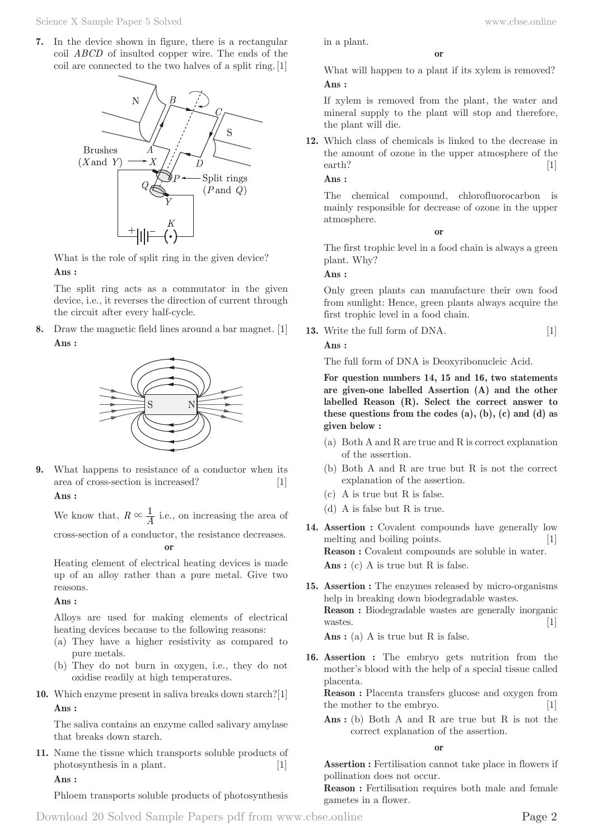**7.** In the device shown in figure, there is a rectangular coil *ABCD* of insulted copper wire. The ends of the coil are connected to the two halves of a split ring. [1]



What is the role of split ring in the given device?

#### **Ans :**

The split ring acts as a commutator in the given device, i.e., it reverses the direction of current through the circuit after every half-cycle.

**8.** Draw the magnetic field lines around a bar magnet. [1] **Ans :** 



**9.** What happens to resistance of a conductor when its area of cross-section is increased? [1]

### **Ans :**

We know that,  $R \propto \frac{1}{A}$  i.e., on increasing the area of cross-section of a conductor, the resistance decreases. **or**

Heating element of electrical heating devices is made up of an alloy rather than a pure metal. Give two reasons.

#### **Ans :**

Alloys are used for making elements of electrical heating devices because to the following reasons:

- (a) They have a higher resistivity as compared to pure metals.
- (b) They do not burn in oxygen, i.e., they do not oxidise readily at high temperatures.
- **10.** Which enzyme present in saliva breaks down starch?[1] **Ans :**

The saliva contains an enzyme called salivary amylase that breaks down starch.

**11.** Name the tissue which transports soluble products of photosynthesis in a plant. [1] **Ans :** 

Phloem transports soluble products of photosynthesis

What will happen to a plant if its xylem is removed? **Ans :** 

**or**

If xylem is removed from the plant, the water and mineral supply to the plant will stop and therefore, the plant will die.

**12.** Which class of chemicals is linked to the decrease in the amount of ozone in the upper atmosphere of the earth? [1]

**Ans :** 

in a plant.

The chemical compound, chlorofluorocarbon is mainly responsible for decrease of ozone in the upper atmosphere.

**or**

The first trophic level in a food chain is always a green plant. Why?

**Ans :** 

Only green plants can manufacture their own food from sunlight: Hence, green plants always acquire the first trophic level in a food chain.

**13.** Write the full form of DNA. [1] **Ans :** 

The full form of DNA is Deoxyribonucleic Acid.

**For question numbers 14, 15 and 16, two statements are given-one labelled Assertion (A) and the other labelled Reason (R). Select the correct answer to these questions from the codes (a), (b), (c) and (d) as given below :**

- (a) Both A and R are true and R is correct explanation of the assertion.
- (b) Both A and R are true but R is not the correct explanation of the assertion.
- (c) A is true but R is false.
- (d) A is false but R is true.
- **14. Assertion :** Covalent compounds have generally low melting and boiling points. [1] **Reason :** Covalent compounds are soluble in water. Ans : (c) A is true but R is false.
- **15. Assertion :** The enzymes released by micro-organisms help in breaking down biodegradable wastes. **Reason :** Biodegradable wastes are generally inorganic wastes.  $[1]$

Ans : (a) A is true but R is false.

**16. Assertion :** The embryo gets nutrition from the mother's blood with the help of a special tissue called placenta.

**Reason :** Placenta transfers glucose and oxygen from the mother to the embryo. [1]

Ans : (b) Both A and R are true but R is not the correct explanation of the assertion.

**or**

**Assertion :** Fertilisation cannot take place in flowers if pollination does not occur.

**Reason :** Fertilisation requires both male and female gametes in a flower.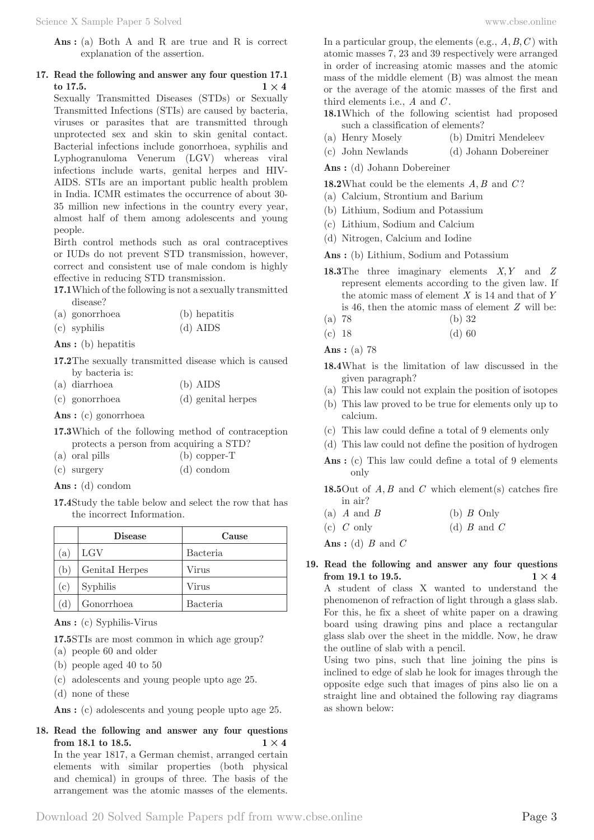Ans : (a) Both A and R are true and R is correct explanation of the assertion.

### **17. Read the following and answer any four question 17.1 to 17.5. 1**  $\times$  **4**

Sexually Transmitted Diseases (STDs) or Sexually Transmitted Infections (STIs) are caused by bacteria, viruses or parasites that are transmitted through unprotected sex and skin to skin genital contact. Bacterial infections include gonorrhoea, syphilis and Lyphogranuloma Venerum (LGV) whereas viral infections include warts, genital herpes and HIV-AIDS. STIs are an important public health problem in India. ICMR estimates the occurrence of about 30- 35 million new infections in the country every year, almost half of them among adolescents and young people.

Birth control methods such as oral contraceptives or IUDs do not prevent STD transmission, however, correct and consistent use of male condom is highly effective in reducing STD transmission.

**17.1** Which of the following is not a sexually transmitted disease?

(a) gonorrhoea (b) hepatitis (c) syphilis (d) AIDS

**Ans :** (b) hepatitis

**17.2** The sexually transmitted disease which is caused by bacteria is:

| (a) diarrhoea  | (b) AIDS           |
|----------------|--------------------|
| (c) gonorrhoea | (d) genital herpes |

**Ans :** (c) gonorrhoea

- **17.3** Which of the following method of contraception protects a person from acquiring a STD?
- (a) oral pills (b) copper-T
- (c) surgery (d) condom

**Ans :** (d) condom

**17.4** Study the table below and select the row that has the incorrect Information.

|     | <b>Disease</b> | Cause           |
|-----|----------------|-----------------|
| (a) | $_{\rm LGV}$   | <b>Bacteria</b> |
| (b) | Genital Herpes | Virus           |
| (c  | Syphilis       | Virus           |
|     | Gonorrhoea     | <b>Bacteria</b> |

**Ans :** (c) Syphilis-Virus

**17.5** STIs are most common in which age group?

- (a) people 60 and older
- (b) people aged 40 to 50
- (c) adolescents and young people upto age 25.
- (d) none of these

Ans : (c) adolescents and young people upto age 25.

**18. Read the following and answer any four questions from 18.1 to 18.5. 1**  $\times$  **4** 

In the year 1817, a German chemist, arranged certain elements with similar properties (both physical and chemical) in groups of three. The basis of the arrangement was the atomic masses of the elements.

In a particular group, the elements (e.g.,  $A, B, C$ ) with atomic masses 7, 23 and 39 respectively were arranged in order of increasing atomic masses and the atomic mass of the middle element (B) was almost the mean or the average of the atomic masses of the first and third elements i.e., *A* and *C* .

- **18.1** Which of the following scientist had proposed such a classification of elements?
- (a) Henry Mosely (b) Dmitri Mendeleev
- (c) John Newlands (d) Johann Dobereiner

**Ans :** (d) Johann Dobereiner

**18.2** What could be the elements *A B*, and *C* ?

- (a) Calcium, Strontium and Barium
- (b) Lithium, Sodium and Potassium
- (c) Lithium, Sodium and Calcium
- (d) Nitrogen, Calcium and Iodine

**Ans :** (b) Lithium, Sodium and Potassium

- **18.3** The three imaginary elements *X Y*, and *Z* represent elements according to the given law. If the atomic mass of element *X* is 14 and that of *Y* is 46, then the atomic mass of element *Z* will be:
- (a) 78 (b) 32
- (c) 18 (d) 60

**Ans :** (a) 78

- **18.4** What is the limitation of law discussed in the given paragraph?
- (a) This law could not explain the position of isotopes
- (b) This law proved to be true for elements only up to calcium.
- (c) This law could define a total of 9 elements only
- (d) This law could not define the position of hydrogen
- Ans : (c) This law could define a total of 9 elements only

**18.5** Out of *A B*, and *C* which element(s) catches fire in air?

| (a) $A$ and $B$ | (b) $B$ Only    |
|-----------------|-----------------|
| (c) $C$ only    | (d) $B$ and $C$ |

**Ans :** (d) *B* and *C*

#### **19. Read the following and answer any four questions from 19.1 to 19.5. 1**  $\times$  **4**

A student of class X wanted to understand the phenomenon of refraction of light through a glass slab. For this, he fix a sheet of white paper on a drawing board using drawing pins and place a rectangular glass slab over the sheet in the middle. Now, he draw the outline of slab with a pencil.

Using two pins, such that line joining the pins is inclined to edge of slab he look for images through the opposite edge such that images of pins also lie on a straight line and obtained the following ray diagrams as shown below: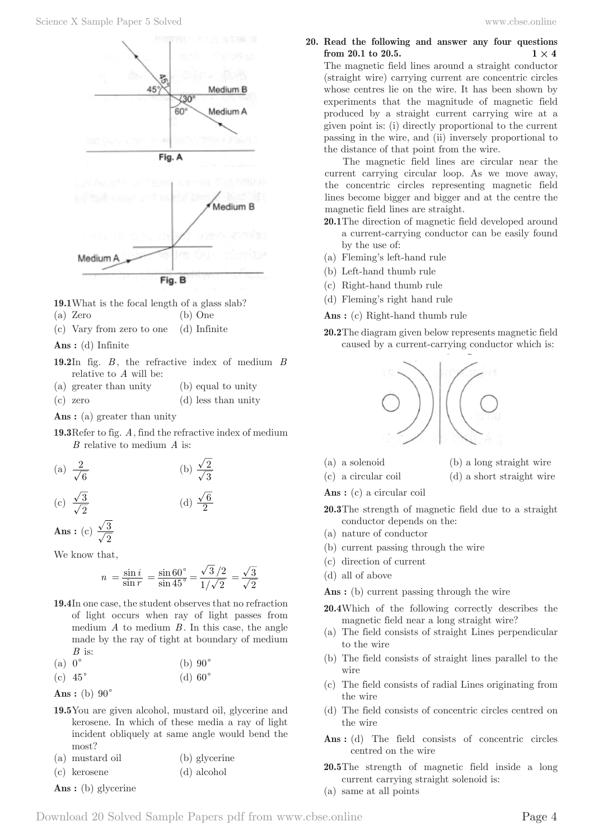

**19.1** What is the focal length of a glass slab?

- (a) Zero (b) One
- (c) Vary from zero to one (d) Infinite

**Ans :** (d) Infinite

- **19.2** In fig. *B* , the refractive index of medium *B* relative to *A* will be:
- (a) greater than unity (b) equal to unity
- (c) zero (d) less than unity
- **Ans :** (a) greater than unity
- **19.3** Refer to fig. *A*, find the refractive index of medium *B* relative to medium *A* is:

(a) 
$$
\frac{2}{\sqrt{6}}
$$
 (b)  $\frac{\sqrt{2}}{\sqrt{3}}$ 

(c) 
$$
\frac{\sqrt{3}}{\sqrt{2}}
$$
 (d)  $\frac{\sqrt{6}}{2}$ 

**Ans** : (c)  $\frac{\sqrt{3}}{\sqrt{2}}$ 

We know that,

$$
n = \frac{\sin i}{\sin r} = \frac{\sin 60^{\circ}}{\sin 45^{\circ}} = \frac{\sqrt{3}/2}{1/\sqrt{2}} = \frac{\sqrt{3}}{\sqrt{2}}
$$

**19.4** In one case, the student observes that no refraction of light occurs when ray of light passes from medium *A* to medium *B* . In this case, the angle made by the ray of tight at boundary of medium *B* is:

| (a) $0^{\circ}$ | (b) $90^\circ$ |
|-----------------|----------------|
|-----------------|----------------|

(c)  $45^{\circ}$  (d)  $60^{\circ}$ 

```
Ans: (b) 90^\circ
```
**19.5** You are given alcohol, mustard oil, glycerine and kerosene. In which of these media a ray of light incident obliquely at same angle would bend the most?

(a) mustard oil (b) glycerine

(c) kerosene (d) alcohol

**Ans :** (b) glycerine

**20. Read the following and answer any four questions from 20.1 to 20.5. 1**  $\times$  **4** 

The magnetic field lines around a straight conductor (straight wire) carrying current are concentric circles whose centres lie on the wire. It has been shown by experiments that the magnitude of magnetic field produced by a straight current carrying wire at a given point is: (i) directly proportional to the current passing in the wire, and (ii) inversely proportional to the distance of that point from the wire.

The magnetic field lines are circular near the current carrying circular loop. As we move away, the concentric circles representing magnetic field lines become bigger and bigger and at the centre the magnetic field lines are straight.

- **20.1** The direction of magnetic field developed around a current-carrying conductor can be easily found by the use of:
- (a) Fleming's left-hand rule
- (b) Left-hand thumb rule
- (c) Right-hand thumb rule
- (d) Fleming's right hand rule

**Ans :** (c) Right-hand thumb rule

**20.2** The diagram given below represents magnetic field caused by a current-carrying conductor which is:



- 
- (a) a solenoid (b) a long straight wire
- (c) a circular coil (d) a short straight wire
- 
- **Ans :** (c) a circular coil
- **20.3** The strength of magnetic field due to a straight conductor depends on the:
- (a) nature of conductor
- (b) current passing through the wire
- (c) direction of current
- (d) all of above

Ans : (b) current passing through the wire

- **20.4** Which of the following correctly describes the magnetic field near a long straight wire?
- (a) The field consists of straight Lines perpendicular to the wire
- (b) The field consists of straight lines parallel to the wire
- (c) The field consists of radial Lines originating from the wire
- (d) The field consists of concentric circles centred on the wire
- Ans : (d) The field consists of concentric circles centred on the wire
- **20.5** The strength of magnetic field inside a long current carrying straight solenoid is:
- (a) same at all points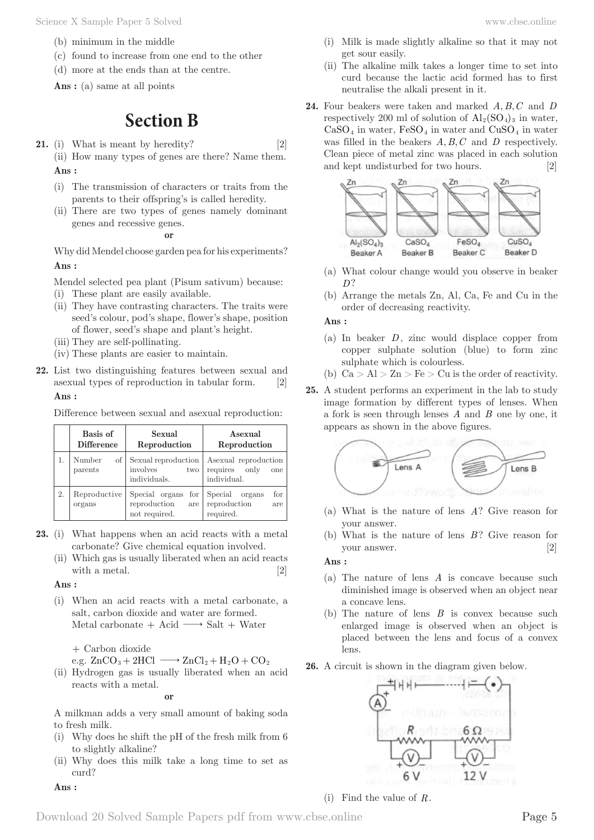Science X Sample Paper 5 Solved www.cbse.online

- (b) minimum in the middle
- (c) found to increase from one end to the other
- (d) more at the ends than at the centre.

Ans : (a) same at all points

# **Section B**

- **21.** (i) What is meant by heredity? [2] (ii) How many types of genes are there? Name them. **Ans :** 
	- (i) The transmission of characters or traits from the parents to their offspring's is called heredity.
	- (ii) There are two types of genes namely dominant genes and recessive genes.

**or**

Why did Mendel choose garden pea for his experiments? **Ans :** 

Mendel selected pea plant (Pisum sativum) because:

- (i) These plant are easily available.
- (ii) They have contrasting characters. The traits were seed's colour, pod's shape, flower's shape, position of flower, seed's shape and plant's height.
- (iii) They are self-pollinating.
- (iv) These plants are easier to maintain.
- **22.** List two distinguishing features between sexual and asexual types of reproduction in tabular form. [2] **Ans :**

Difference between sexual and asexual reproduction:

|    | Basis of<br><b>Difference</b> | Sexual<br>Reproduction                                     | Asexual<br>Reproduction                                      |
|----|-------------------------------|------------------------------------------------------------|--------------------------------------------------------------|
|    | Number<br>οf<br>parents       | Sexual reproduction<br>involves<br>two<br>individuals.     | Asexual reproduction<br>requires only<br>one<br>individual.  |
| 2. | Reproductive<br>organs        | Special organs for<br>reproduction<br>are<br>not required. | for<br>Special<br>organs<br>reproduction<br>are<br>required. |

- **23.** (i) What happens when an acid reacts with a metal carbonate? Give chemical equation involved.
	- (ii) Which gas is usually liberated when an acid reacts with a metal. [2]

#### **Ans :**

(i) When an acid reacts with a metal carbonate, a salt, carbon dioxide and water are formed. Metal carbonate + Acid  $\longrightarrow$  Salt + Water

+ Carbon dioxide

e.g.  $ZnCO_3 + 2HCl \longrightarrow ZnCl_2 + H_2O + CO_2$ 

(ii) Hydrogen gas is usually liberated when an acid reacts with a metal.

**or**

A milkman adds a very small amount of baking soda to fresh milk.

- (i) Why does he shift the pH of the fresh milk from 6 to slightly alkaline?
- (ii) Why does this milk take a long time to set as curd?

**Ans :** 

- (i) Milk is made slightly alkaline so that it may not get sour easily.
- (ii) The alkaline milk takes a longer time to set into curd because the lactic acid formed has to first neutralise the alkali present in it.
- **24.** Four beakers were taken and marked A, B, C and D respectively 200 ml of solution of  $\text{Al}_2(\text{SO}_4)_{3}$  in water,  $CaSO<sub>4</sub>$  in water,  $FeSO<sub>4</sub>$  in water and  $CuSO<sub>4</sub>$  in water was filled in the beakers  $A, B, C$  and  $D$  respectively. Clean piece of metal zinc was placed in each solution and kept undisturbed for two hours. [2]



- (a) What colour change would you observe in beaker *D*?
- (b) Arrange the metals Zn, Al, Ca, Fe and Cu in the order of decreasing reactivity.

#### **Ans :**

- (a) In beaker *D*, zinc would displace copper from copper sulphate solution (blue) to form zinc sulphate which is colourless.
- (b)  $Ca > Al > Zn > Fe > Cu$  is the order of reactivity.
- **25.** A student performs an experiment in the lab to study image formation by different types of lenses. When a fork is seen through lenses *A* and *B* one by one, it appears as shown in the above figures.



- (a) What is the nature of lens *A*? Give reason for your answer.
- (b) What is the nature of lens *B*? Give reason for your answer. [2]

**Ans :** 

- (a) The nature of lens *A* is concave because such diminished image is observed when an object near a concave lens.
- (b) The nature of lens *B* is convex because such enlarged image is observed when an object is placed between the lens and focus of a convex lens.
- **26.** A circuit is shown in the diagram given below.



(i) Find the value of *R*.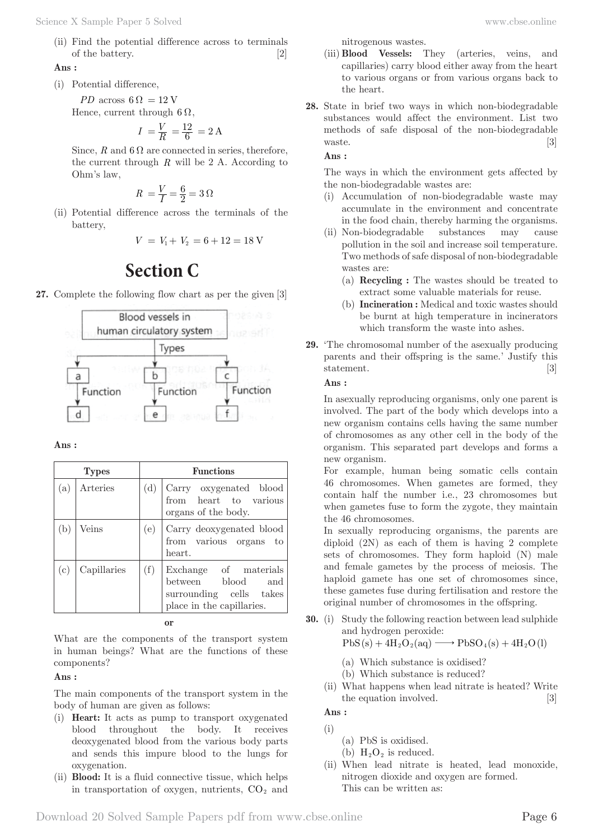(ii) Find the potential difference across to terminals of the battery. [2]

#### **Ans :**

(i) Potential difference,

*PD* across  $6 \Omega = 12 V$ Hence, current through  $6 \Omega$ ,

$$
I = \frac{V}{R} = \frac{12}{6} = 2 \text{ A}
$$

Since,  $R$  and  $6 \Omega$  are connected in series, therefore, the current through *R* will be 2 A. According to Ohm's law,

$$
R\ = \frac{V}{I} = \frac{6}{2} = 3\ \Omega
$$

(ii) Potential difference across the terminals of the battery,

$$
V = V_1 + V_2 = 6 + 12 = 18
$$
 V

# **Section C**

**27.** Complete the following flow chart as per the given [3]



**Ans :** 

|              | <b>Types</b> |     | <b>Functions</b>                                                                                   |
|--------------|--------------|-----|----------------------------------------------------------------------------------------------------|
| (a)          | Arteries     | (d) | Carry oxygenated blood<br>from heart to various<br>organs of the body.                             |
| $\mathbf{b}$ | Veins        | (e) | Carry deoxygenated blood<br>from various organs to<br>heart.                                       |
| (c)          | Capillaries  | (f) | Exchange of materials<br>between blood and<br>surrounding cells takes<br>place in the capillaries. |

**or**

What are the components of the transport system in human beings? What are the functions of these components?

#### **Ans :**

The main components of the transport system in the body of human are given as follows:

- (i) **Heart:** It acts as pump to transport oxygenated blood throughout the body. It receives deoxygenated blood from the various body parts and sends this impure blood to the lungs for oxygenation.
- (ii) **Blood:** It is a fluid connective tissue, which helps in transportation of oxygen, nutrients,  $CO<sub>2</sub>$  and

nitrogenous wastes.

- (iii) **Blood Vessels:** They (arteries, veins, and capillaries) carry blood either away from the heart to various organs or from various organs back to the heart.
- **28.** State in brief two ways in which non-biodegradable substances would affect the environment. List two methods of safe disposal of the non-biodegradable waste. [3]

**Ans :** 

The ways in which the environment gets affected by the non-biodegradable wastes are:

- (i) Accumulation of non-biodegradable waste may accumulate in the environment and concentrate in the food chain, thereby harming the organisms.
- (ii) Non-biodegradable substances may cause pollution in the soil and increase soil temperature. Two methods of safe disposal of non-biodegradable wastes are:
	- (a) **Recycling :** The wastes should be treated to extract some valuable materials for reuse.
	- (b) **Incineration :** Medical and toxic wastes should be burnt at high temperature in incinerators which transform the waste into ashes.
- **29.** 'The chromosomal number of the asexually producing parents and their offspring is the same.' Justify this statement. [3]

#### **Ans :**

In asexually reproducing organisms, only one parent is involved. The part of the body which develops into a new organism contains cells having the same number of chromosomes as any other cell in the body of the organism. This separated part develops and forms a new organism.

For example, human being somatic cells contain 46 chromosomes. When gametes are formed, they contain half the number i.e., 23 chromosomes but when gametes fuse to form the zygote, they maintain the 46 chromosomes.

In sexually reproducing organisms, the parents are diploid (2N) as each of them is having 2 complete sets of chromosomes. They form haploid (N) male and female gametes by the process of meiosis. The haploid gamete has one set of chromosomes since, these gametes fuse during fertilisation and restore the original number of chromosomes in the offspring.

**30.** (i) Study the following reaction between lead sulphide and hydrogen peroxide:

$$
PbS(s) + 4H_2O_2(aq) \longrightarrow PbSO_4(s) + 4H_2O(l)
$$

- (a) Which substance is oxidised?
- (b) Which substance is reduced?
- (ii) What happens when lead nitrate is heated? Write the equation involved. [3]
- **Ans :**  (i)
	- (a) PbS is oxidised.
	- (b)  $H_2O_2$  is reduced.
- (ii) When lead nitrate is heated, lead monoxide, nitrogen dioxide and oxygen are formed. This can be written as: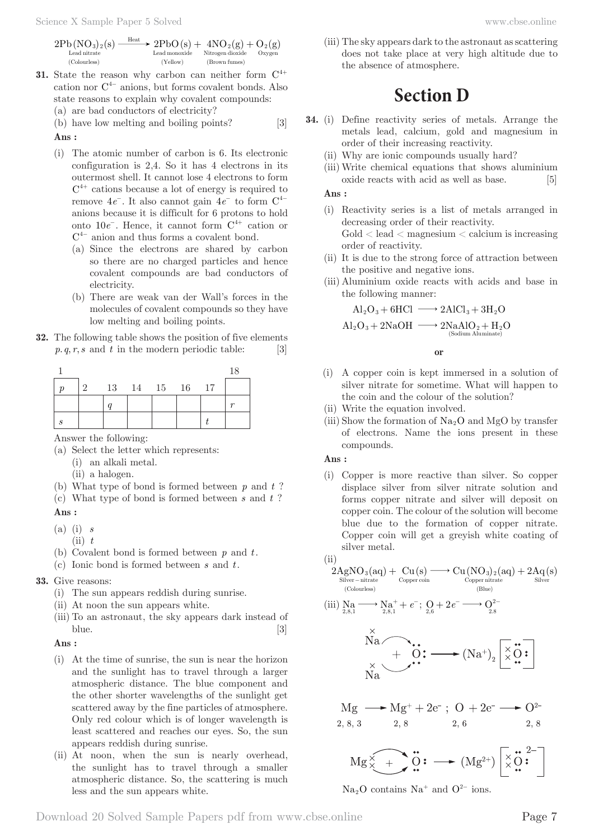- **31.** State the reason why carbon can neither form  $C^{4+}$ cation nor  $C^{4-}$  anions, but forms covalent bonds. Also state reasons to explain why covalent compounds:
	- (a) are bad conductors of electricity?

(b) have low melting and boiling points? [3] **Ans :** 

- (i) The atomic number of carbon is 6. Its electronic configuration is 2,4. So it has 4 electrons in its outermost shell. It cannot lose 4 electrons to form  $C<sup>4+</sup>$  cations because a lot of energy is required to remove 4*e*<sup>−</sup>. It also cannot gain 4*e*<sup>−</sup> to form C<sup>4</sup><sup>−</sup> anions because it is difficult for 6 protons to hold onto 10*e*<sup>−</sup>. Hence, it cannot form C<sup>4</sup><sup>+</sup> cation or C<sup>4</sup><sup>−</sup> anion and thus forms a covalent bond.
	- (a) Since the electrons are shared by carbon so there are no charged particles and hence covalent compounds are bad conductors of electricity.
	- (b) There are weak van der Wall's forces in the molecules of covalent compounds so they have low melting and boiling points.
- **32.** The following table shows the position of five elements  $p, q, r, s$  and  $t$  in the modern periodic table: [3]

|          |  |                |  | 18 |
|----------|--|----------------|--|----|
| $\Omega$ |  | 13 14 15 16 17 |  |    |
|          |  |                |  |    |
|          |  |                |  |    |

Answer the following:

- (a) Select the letter which represents:
	- (i) an alkali metal.
	- (ii) a halogen.
- (b) What type of bond is formed between *p* and *t* ?
- (c) What type of bond is formed between *s* and *t* ?

#### **Ans :**

- (a) (i) *s*
	- $(iii)$   $t$
- (b) Covalent bond is formed between *p* and *t*.
- (c) Ionic bond is formed between *s* and *t*.
- **33.** Give reasons:
	- (i) The sun appears reddish during sunrise.
	- (ii) At noon the sun appears white.
	- (iii) To an astronaut, the sky appears dark instead of blue.  $[3]$

#### **Ans :**

- (i) At the time of sunrise, the sun is near the horizon and the sunlight has to travel through a larger atmospheric distance. The blue component and the other shorter wavelengths of the sunlight get scattered away by the fine particles of atmosphere. Only red colour which is of longer wavelength is least scattered and reaches our eyes. So, the sun appears reddish during sunrise.
- (ii) At noon, when the sun is nearly overhead, the sunlight has to travel through a smaller atmospheric distance. So, the scattering is much less and the sun appears white.

(iii) The sky appears dark to the astronaut as scattering does not take place at very high altitude due to the absence of atmosphere.

## **Section D**

- **34.** (i) Define reactivity series of metals. Arrange the metals lead, calcium, gold and magnesium in order of their increasing reactivity.
	- (ii) Why are ionic compounds usually hard?
	- (iii) Write chemical equations that shows aluminium oxide reacts with acid as well as base. [5]

### **Ans :**

- (i) Reactivity series is a list of metals arranged in decreasing order of their reactivity.  $Gold < lead <$  magnesium  $<$  calcium is increasing order of reactivity.
- (ii) It is due to the strong force of attraction between the positive and negative ions.
- (iii) Aluminium oxide reacts with acids and base in the following manner:

$$
Al_2O_3 + 6HCl \longrightarrow 2AlCl_3 + 3H_2O
$$

$$
Al_2O_3 + 2NaOH \longrightarrow 2NaAlO_2 + H_2O
$$

$$
\xrightarrow{\text{(Sodium Aluminate)}}
$$

#### **or**

- (i) A copper coin is kept immersed in a solution of silver nitrate for sometime. What will happen to the coin and the colour of the solution?
- (ii) Write the equation involved.
- (iii) Show the formation of  $Na<sub>2</sub>O$  and MgO by transfer of electrons. Name the ions present in these compounds.

#### **Ans :**

(i) Copper is more reactive than silver. So copper displace silver from silver nitrate solution and forms copper nitrate and silver will deposit on copper coin. The colour of the solution will become blue due to the formation of copper nitrate. Copper coin will get a greyish white coating of silver metal.

$$
\rm(ii)
$$

$$
\underset{\substack{\text{Silver - nitrate}\\(\text{Colourless})}}{2AgNO_3(aq)} + \underset{\substack{\text{Copper coin}\\(\text{Colourless})}}{Cuper coin} \xrightarrow{Cu(NO_3)_2(aq)} + 2\underset{\text{Silver}}{Aq(s)}
$$

$$
(\textbf{iii})\ \underset{2,8,1}{\text{Na}}\xrightarrow{\hspace*{1.5cm}} \underset{2,8,1}{\text{Na}^+} + e^-;\ \underset{2,6}{\text{O}} + 2\hspace{0.2mm}e^- \xrightarrow{\hspace*{1.5cm}} \underset{2,8}{\text{O}^2}
$$

$$
\overbrace{N^{\times}_{N\mathbf{a}}}^{\mathbf{Na}} \xrightarrow{\qquad \qquad \bullet} \mathbf{O} \mathbf{?} \longrightarrow (\mathrm{Na^+})_2 \begin{bmatrix} \times & \bullet \\ \times & \bullet \end{bmatrix}
$$

$$
Mg \longrightarrow Mg^{+} + 2e^{-}; O + 2e^{-} \longrightarrow O^{2-}
$$
  
2, 8, 3 2, 8 2, 6 2, 8

$$
\mathrm{Mg}\overbrace{\times}^{\times}+\bullet \stackrel{\scriptscriptstyle\bullet}{\circ}\mathbf{3}: \ \text{---}\ (\mathrm{Mg}^{2+})\left[\begin{smallmatrix}\times & \scriptscriptstyle\bullet & 2-\\ \times & \scriptscriptstyle\bullet & \end{smallmatrix}\right]
$$

Na<sub>2</sub>O contains Na<sup>+</sup> and O<sup>2−</sup> ions.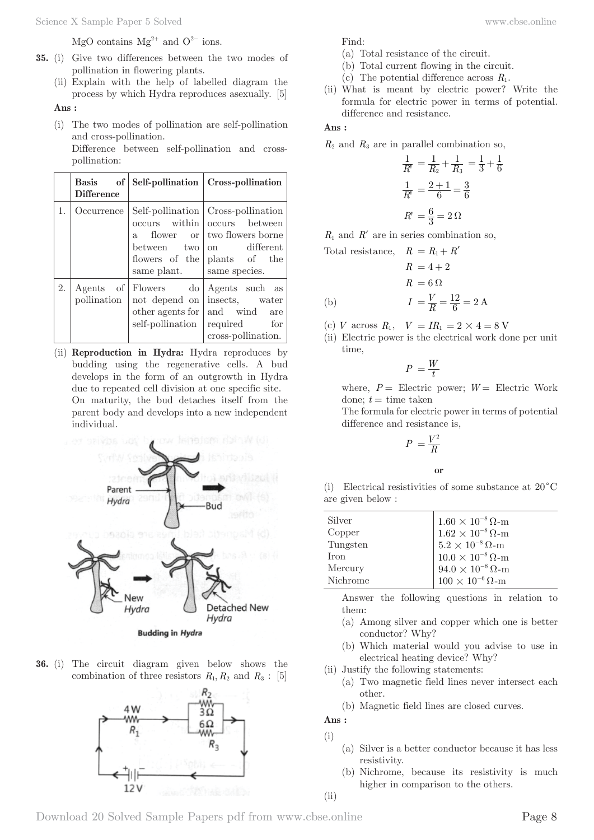MgO contains  $Mg^{2+}$  and  $O^{2-}$  ions.

- **35.** (i) Give two differences between the two modes of pollination in flowering plants.
	- (ii) Explain with the help of labelled diagram the process by which Hydra reproduces asexually. [5]

**Ans :** 

(i) The two modes of pollination are self-pollination and cross-pollination.

 Difference between self-pollination and crosspollination:

|    | of  <br>$\rm Basis$<br><b>Difference</b> |                                                                         | Self-pollination   Cross-pollination                                                                                                                             |
|----|------------------------------------------|-------------------------------------------------------------------------|------------------------------------------------------------------------------------------------------------------------------------------------------------------|
| 1. | Occurrence                               | $a_{-}$<br>between two<br>same plant. Same species.                     | Self-pollination   Cross-pollination<br>occurs within occurs between<br>flower or two flowers borne<br>on different<br>flowers of the $\mathbf{0}$ plants of the |
| 2. | pollination                              | Agents of Flowers do<br>other agents for   and wind<br>self-pollination | Agents such as<br>not depend on insects, water<br>are<br>required for<br>cross-pollination.                                                                      |

(ii) **Reproduction in Hydra:** Hydra reproduces by budding using the regenerative cells. A bud develops in the form of an outgrowth in Hydra due to repeated cell division at one specific site. On maturity, the bud detaches itself from the parent body and develops into a new independent individual.



**36.** (i) The circuit diagram given below shows the combination of three resistors  $R_1, R_2$  and  $R_3$ : [5]



Find:

- (a) Total resistance of the circuit.
- (b) Total current flowing in the circuit.
- (c) The potential difference across  $R_1$ .
- (ii) What is meant by electric power? Write the formula for electric power in terms of potential. difference and resistance.

#### **Ans :**

|  |  |  |  |  | $R_2$ and $R_3$ are in parallel combination so. |  |
|--|--|--|--|--|-------------------------------------------------|--|
|--|--|--|--|--|-------------------------------------------------|--|

$$
\frac{1}{R'} = \frac{1}{R_2} + \frac{1}{R_3} = \frac{1}{3} + \frac{1}{6}
$$

$$
\frac{1}{R'} = \frac{2+1}{6} = \frac{3}{6}
$$

$$
R' = \frac{6}{3} = 2\Omega
$$

 $R_1$  and  $R'$  are in series combination so,

Total resistance,  $R = R_1 + R'$  $R = 4 \pm 2$ 

$$
R = 4 + 2
$$
  
\n
$$
R = 6 \Omega
$$
  
\n(b) 
$$
I = \frac{V}{R} = \frac{12}{6} = 2 \text{ A}
$$

- (c) *V* across  $R_1$ ,  $V = IR_1 = 2 \times 4 = 8$  V
- (ii) Electric power is the electrical work done per unit time,

$$
P\ = \frac{W}{t}
$$

where,  $P =$  Electric power;  $W =$  Electric Work done;  $t =$  time taken

 The formula for electric power in terms of potential difference and resistance is,

$$
P = \frac{V^2}{R}
$$

**or**

(i) Electrical resistivities of some substance at  $20^{\circ}$ C are given below :

| Silver      | $\begin{array}{c} 1.60\times10^{-8}\,\Omega\text{-m} \\ 1.62\times10^{-8}\,\Omega\text{-m} \\ 5.2\times10^{-8}\,\Omega\text{-m} \end{array}$ |
|-------------|----------------------------------------------------------------------------------------------------------------------------------------------|
| Copper      |                                                                                                                                              |
| Tungsten    |                                                                                                                                              |
| <b>Iron</b> | $10.0 \times 10^{-8}$ $\Omega$ -m                                                                                                            |
| Mercury     | $94.0 \times 10^{-8}$ $\Omega$ -m                                                                                                            |
| Nichrome    | $100\times10^{-6}\,\Omega\text{-m}$                                                                                                          |
|             |                                                                                                                                              |

 Answer the following questions in relation to them:

- (a) Among silver and copper which one is better conductor? Why?
- (b) Which material would you advise to use in electrical heating device? Why?
- (ii) Justify the following statements:
	- (a) Two magnetic field lines never intersect each other.
	- (b) Magnetic field lines are closed curves.

**Ans :** 

(i)

 $(ii)$ 

- (a) Silver is a better conductor because it has less resistivity.
- (b) Nichrome, because its resistivity is much higher in comparison to the others.